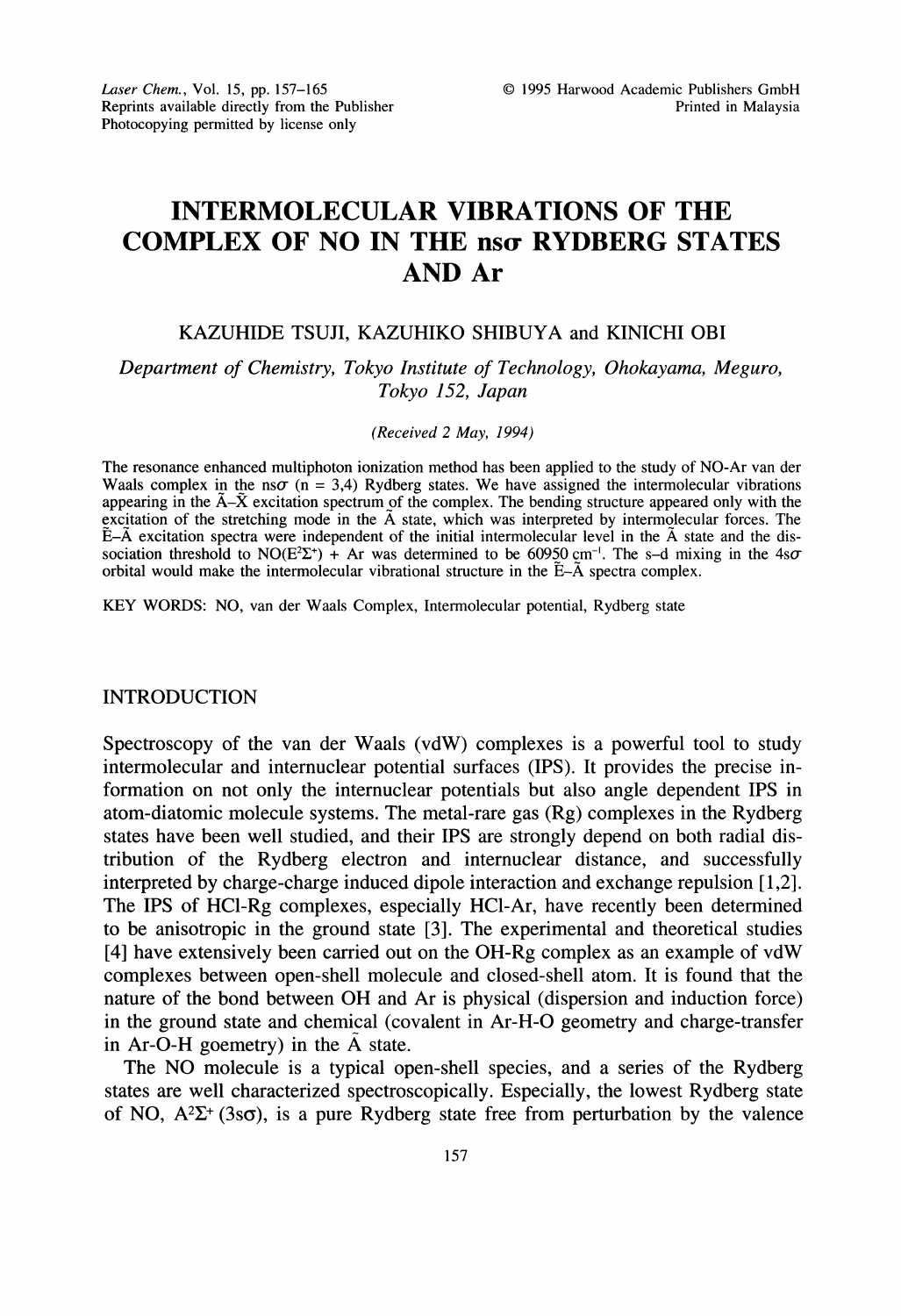# INTERMOLECULAR VIBRATIONS OF THE COMPLEX OF NO IN THE nso RYDBERG STATES AND Ar

## KAZUHIDE TSUJI, KAZUHIKO SHIBUYA and KINICHI OBI

Department of Chemistry, Tokyo Institute of Technology, Ohokayama, Meguro, Tokyo 152, Japan

#### (Received 2 May, 1994)

The resonance enhanced multiphoton ionization method has been applied to the study of NO-Ar van der Waals complex in the ns $\sigma$  (n = 3,4) Rydberg states. We have assigned the intermolecular vibrations appearing in the  $\tilde{A}-\tilde{X}$  excitation spectrum of the complex. The bending structure appeared only with the excitation of the stretching mode in the A state, which was interpreted by intermolecular forces. The E-A excitation spectra were independent of the initial intermolecular level in the A state and the dissociation threshold to NO(E<sup>2</sup> $\Sigma$ <sup>+</sup>) + Ar was determined to be 60950 cm<sup>-1</sup>. The s-d mixing in the 4s $\sigma$ orbital would make the intermolecular vibrational structure in the  $E-\tilde{A}$  spectra complex.

KEY WORDS: NO, van der Waals Complex, Intermolecular potential, Rydberg state

### INTRODUCTION

Spectroscopy of the van der Waals (vdW) complexes is a powerful tool to study intermolecular and internuclear potential surfaces (IPS). It provides the precise information on not only the internuclear potentials but also angle dependent IPS in atom-diatomic molecule systems. The metal-rare gas (Rg) complexes in the Rydberg states have been well studied, and their IPS are strongly depend on both radial distribution of the Rydberg electron and internuclear distance, and successfully interpreted by charge-charge induced dipole interaction and exchange repulsion [1,2]. The IPS of HC1-Rg complexes, especially HC1-Ar, have recently been determined to be anisotropic in the ground state [3]. The experimental and theoretical studies [4] have extensively been carried out on the OH-Rg complex as an example of vdW complexes between open-shell molecule and closed-shell atom. It is found that the nature of the bond between OH and Ar is physical (dispersion and induction force) in the ground state and chemical (covalent in Ar-H-O geometry and charge-transfer in  $Ar-O-H$  goemetry) in the  $A$  state.

The NO molecule is <sup>a</sup> typical open-shell species, and <sup>a</sup> series of the Rydberg states are well characterized spectroscopically. Especially, the lowest Rydberg state of NO,  $A^2\Sigma^+$  (3s $\sigma$ ), is a pure Rydberg state free from perturbation by the valence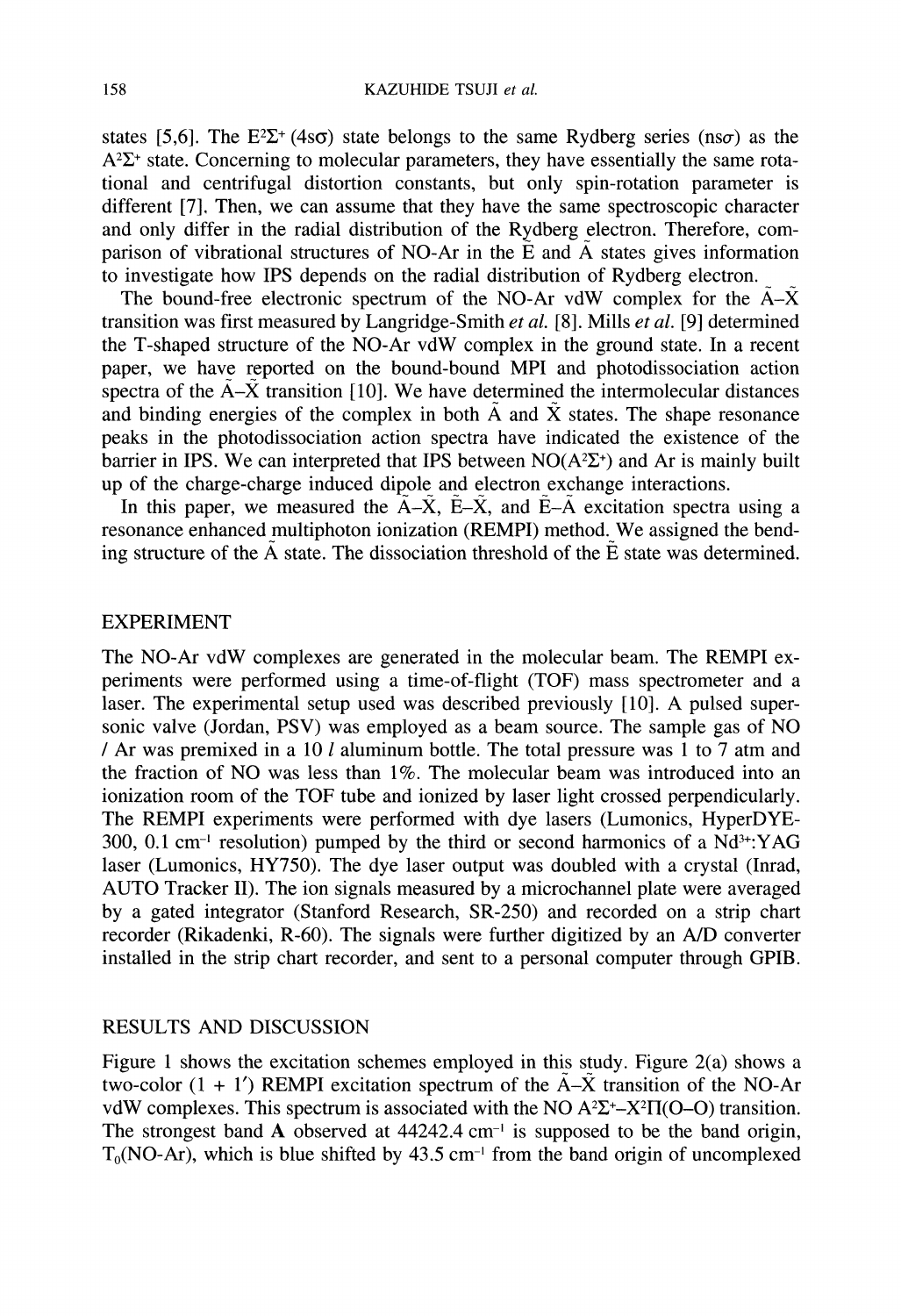states [5,6]. The E<sup>2</sup> $\Sigma$ <sup>+</sup> (4s $\sigma$ ) state belongs to the same Rydberg series (ns $\sigma$ ) as the  $A^2\Sigma^+$  state. Concerning to molecular parameters, they have essentially the same rotational and centrifugal distortion constants, but only spin-rotation parameter is different [7]. Then, we can assume that they have the same spectroscopic character and only differ in the radial distribution of the Rydberg electron. Therefore, comparison of vibrational structures of NO-Ar in the  $\tilde{E}$  and  $\tilde{A}$  states gives information to investigate how IPS depends on the radial distribution of Rydberg electron.

The bound-free electronic spectrum of the NO-Ar vdW complex for the  $\tilde{A}-\tilde{X}$ transition was first measured by Langridge-Smith et al. [8]. Mills et al. [9] determined the T-shaped structure of the NO-Ar vdW complex in the ground state. In <sup>a</sup> recent paper, we have reported on the bound-bound MPI and photodissociation action spectra of the  $\tilde{A}-\tilde{X}$  transition [10]. We have determined the intermolecular distances and binding energies of the complex in both  $\tilde{A}$  and  $\tilde{X}$  states. The shape resonance peaks in the photodissociation action spectra have indicated the existence of the barrier in IPS. We can interpreted that IPS between  $NO(A^2\Sigma^+)$  and Ar is mainly built up of the charge-charge induced dipole and electron exchange interactions.

In this paper, we measured the  $A-\tilde{X}$ ,  $\tilde{E}-\tilde{X}$ , and  $\tilde{E}-\tilde{A}$  excitation spectra using a resonance enhanced multiphoton ionization (REMPI) method. We assigned the bending structure of the  $\tilde{A}$  state. The dissociation threshold of the  $\tilde{E}$  state was determined.

## EXPERIMENT

The NO-Ar vdW complexes are generated in the molecular beam. The REMPI experiments were performed using a time-of-flight (TOF) mass spectrometer and a laser. The experimental setup used was described previously [10]. A pulsed supersonic valve (Jordan, PSV) was employed as <sup>a</sup> beam source. The sample gas of NO / Ar was premixed in a 10  $l$  aluminum bottle. The total pressure was 1 to 7 atm and the fraction of NO was less than 1%. The molecular beam was introduced into an ionization room of the TOF tube and ionized by laser light crossed perpendicularly. The REMPI experiments were performed with dye lasers (Lumonics, HyperDYE-300, 0.1 cm<sup>-1</sup> resolution) pumped by the third or second harmonics of a  $Nd^{3+}$ : YAG 300, 0.1 cm<sup>-1</sup> resolution) pumped by the third or second harmonics of a Nd<sup>3+</sup>:YAG laser (Lumonics, HY750). The dye laser output was doubled with a crystal (Inrad, AUTO Tracker II). The ion signals measured by <sup>a</sup> microchannel plate were averaged by a gated integrator (Stanford Research, SR-250) and recorded on a strip chart recorder (Rikadenki, R-60). The signals were further digitized by an A/D converter installed in the strip chart recorder, and sent to a personal computer through GPIB.

## RESULTS AND DISCUSSION

Figure <sup>1</sup> shows the excitation schemes employed in this study. Figure 2(a) shows a two-color  $(1 + 1')$  REMPI excitation spectrum of the  $A - \tilde{X}$  transition of the NO-Ar  $A-X$  transition of the NO-Ar<br>O  $A^2\Sigma^+$ - $X^2\Pi$ (O-O) transition.<br>pposed to be the band origin,<br>e band origin of uncomplexed vdW complexes. This spectrum is associated with the NO  $A^2\Sigma^+$ -X<sup>2</sup> $\Pi$ (O–O) transition. The strongest band A observed at  $44242.4$  cm<sup>-1</sup> is supposed to be the band origin,  $T<sub>0</sub>(NO-Ar)$ , which is blue shifted by 43.5 cm<sup>-1</sup> from the band origin of uncomplexed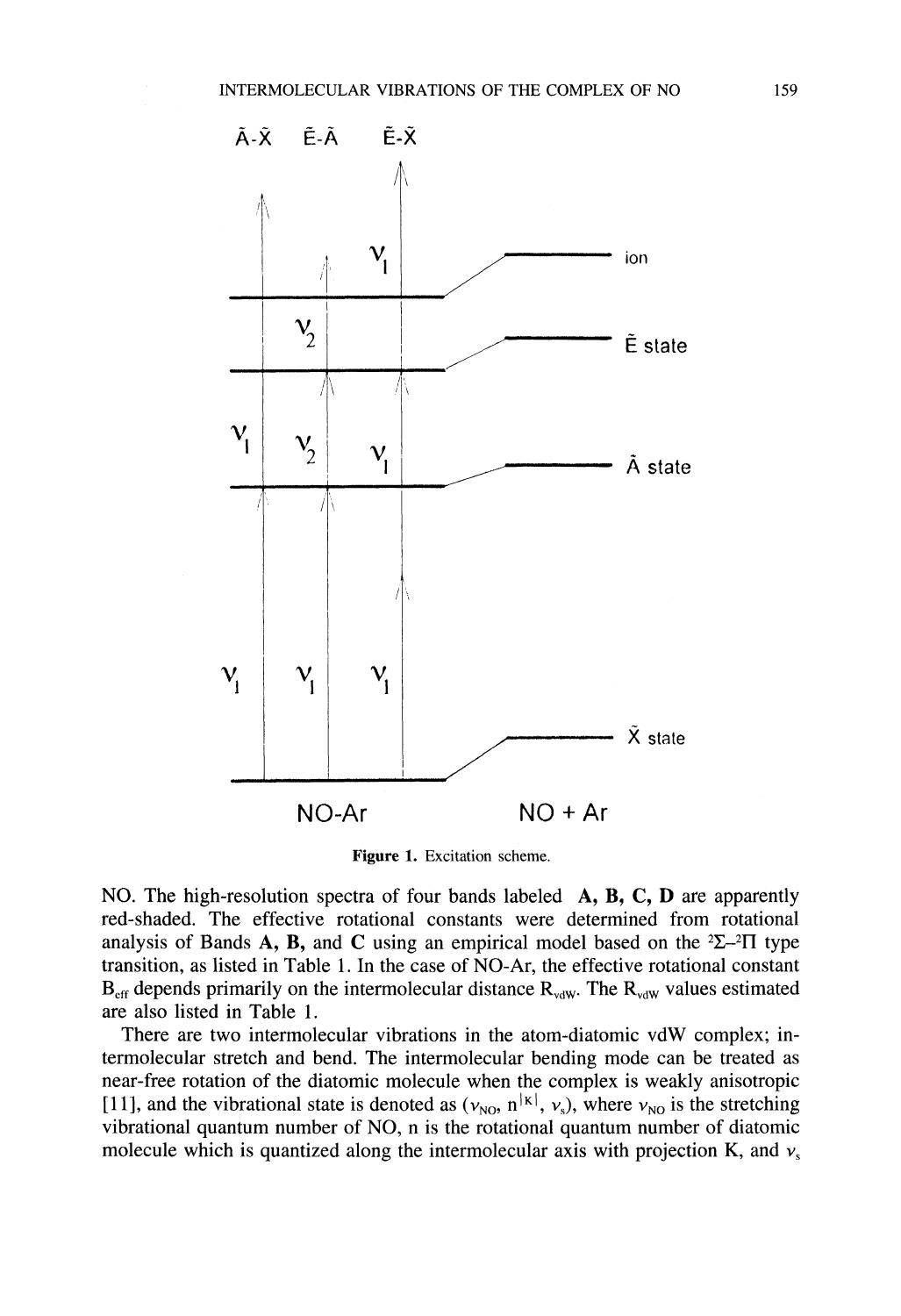

Figure 1. Excitation scheme.

NO. The high-resolution spectra of four bands labeled A, B, C, D are apparently red-shaded. The effective rotational constants were determined from rotational analysis of Bands A, B, and C using an empirical model based on the  $2\Sigma$ - $2\Pi$  type transition, as listed in Table 1. In the case of NO-Ar, the effective rotational constant  $B_{\text{eff}}$  depends primarily on the intermolecular distance  $R_{\text{vdW}}$ . The  $R_{\text{vdW}}$  values estimated are also listed in Table 1.

There are two intermolecular vibrations in the atom-diatomic vdW complex; intermolecular stretch and bend. The intermolecular bending mode can be treated as near-free rotation of the diatomic molecule when the complex is weakly anisotropic 11, and the vibrational state is denoted as  $(v_{\text{NO}}, n^{|\kappa|}, v_s)$ , where  $v_{\text{NO}}$  is the stretching vibrational quantum number of NO, n is the rotational quantum number of diatomic molecule which is quantized along the intermolecular axis with projection K, and  $v_s$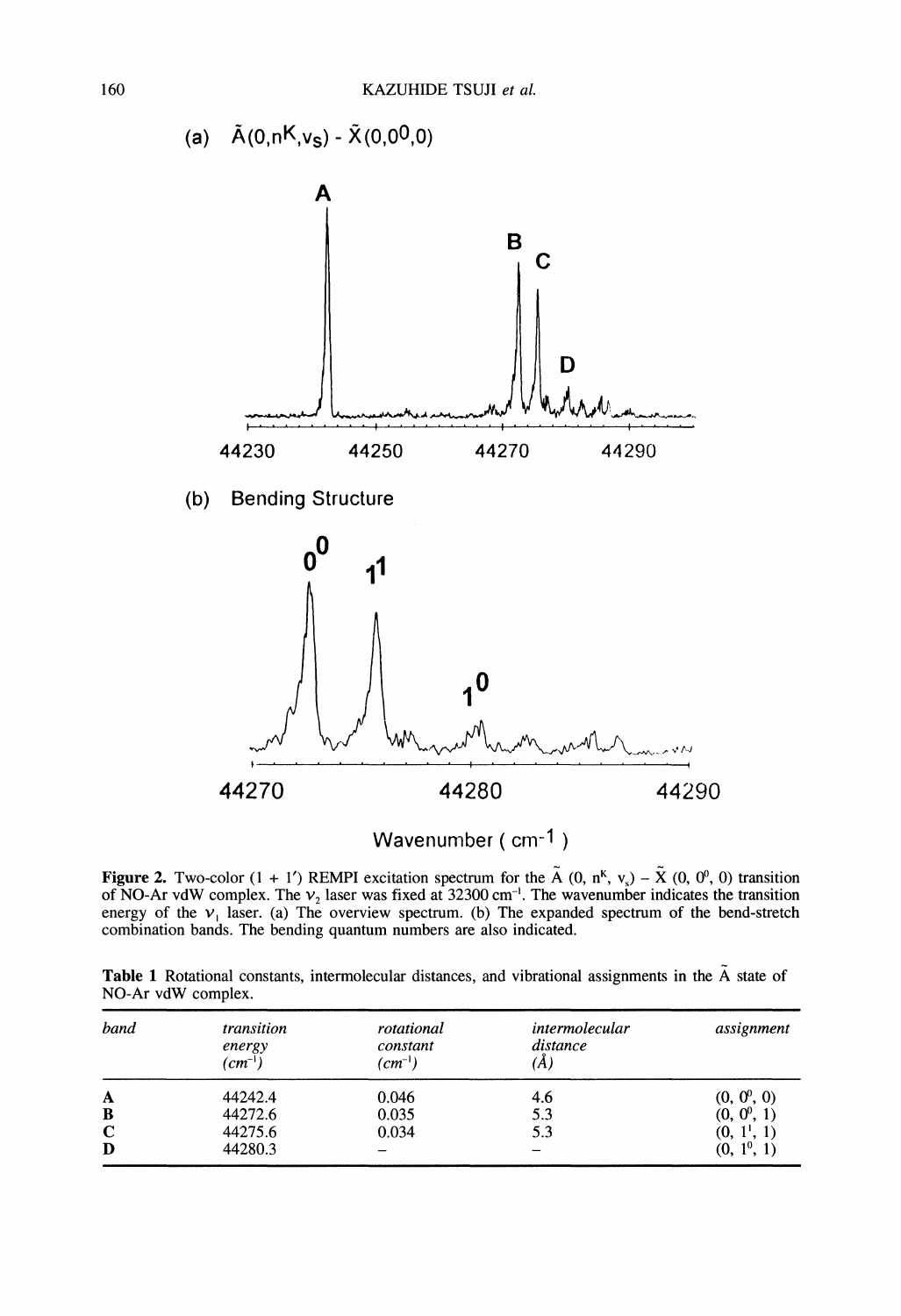

Wavenumber (cm-1)

**Figure 2.** Two-color  $(1 + 1')$  REMPI excitation spectrum for the  $\tilde{A}$   $(0, n^{K}, v_s) - \tilde{X}$   $(0, 0^{0}, 0)$  transition of NO-Ar vdW complex. The  $v_2$  laser was fixed at 32300 cm<sup>-1</sup>. The wavenumber indicates the transition energy of the  $v_1$  laser. (a) The overview spectrum. (b) The expanded spectrum of the bend-stretch combination bands. The bending quantum numbers are also indicated.

Table 1 Rotational constants, intermolecular distances, and vibrational assignments in the  $\tilde{A}$  state of NO-Ar vdW complex.

| band        | transition<br>energy<br>$(cm^{-1})$ | rotational<br>constant<br>$(cm^{-1})$ | intermolecular<br>distance<br>ΙA, | assignment    |
|-------------|-------------------------------------|---------------------------------------|-----------------------------------|---------------|
| $\mathbf A$ | 44242.4                             | 0.046                                 | 4.6                               | $(0, 0^0, 0)$ |
| B           | 44272.6                             | 0.035                                 | 5.3                               | $(0, 0^0, 1)$ |
| C           | 44275.6                             | 0.034                                 | 5.3                               | $(0, 1^1, 1)$ |
| D           | 44280.3                             |                                       |                                   | $(0, 1^0, 1)$ |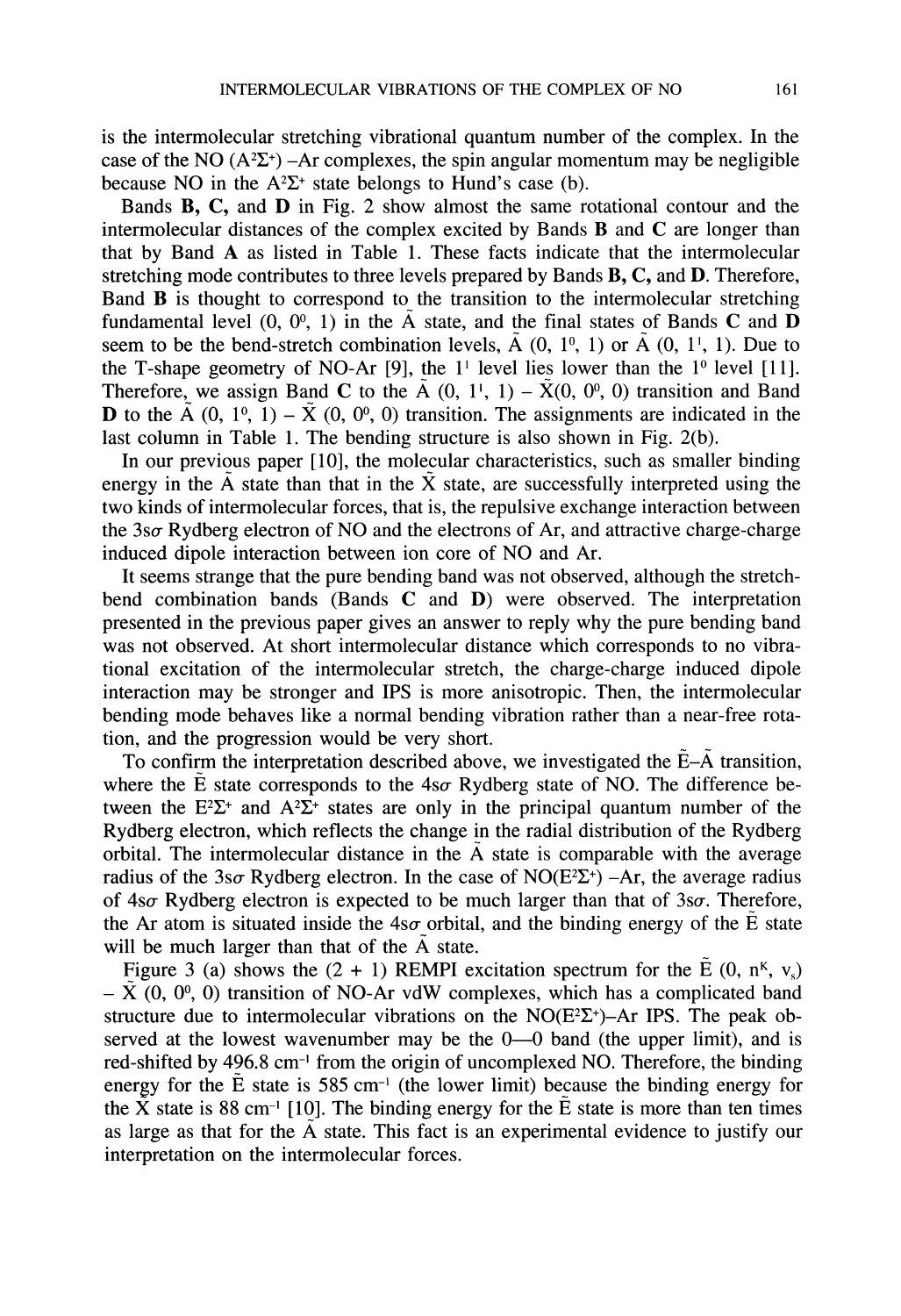is the intermolecular stretching vibrational quantum number of the complex. In the case of the NO ( $A^2\Sigma^+$ ) -Ar complexes, the spin angular momentum may be negligible because NO in the  $A^2\Sigma^+$  state belongs to Hund's case (b).

Bands **B**, C, and **D** in Fig. 2 show almost the same rotational contour and the intermolecular distances of the complex excited by Bands B and C are longer than that by Band A as listed in Table 1. These facts indicate that the intermolecular stretching mode contributes to three levels prepared by Bands  $B, C,$  and  $D$ . Therefore, Band B is thought to correspond to the transition to the intermolecular stretching fundamental level  $(0, 0^0, 1)$  in the  $\tilde{A}$  state, and the final states of Bands C and D seem to be the bend-stretch combination levels,  $\tilde{A}$  (0, 1<sup>0</sup>, 1) or  $\tilde{A}$  (0, 1<sup>1</sup>, 1). Due to the T-shape geometry of NO-Ar [9], the  $1<sup>1</sup>$  level lies lower than the  $1<sup>0</sup>$  level [11]. Therefore, we assign Band C to the  $\tilde{A}$  (0, 1', 1) –  $\tilde{X}$ (0, 0°, 0) transition and Band **D** to the  $\tilde{A}$  (0, 1<sup>0</sup>, 1) –  $\tilde{X}$  (0, 0<sup>0</sup>, 0) transition. The assignments are indicated in the last column in Table 1. The bending structure is also shown in Fig. 2(b).

In our previous paper  $[10]$ , the molecular characteristics, such as smaller binding energy in the  $\tilde{A}$  state than that in the  $\tilde{X}$  state, are successfully interpreted using the two kinds of intermolecular forces, that is, the repulsive exchange interaction between the  $3s\sigma$  Rydberg electron of NO and the electrons of Ar, and attractive charge-charge induced dipole interaction between ion core of NO and Ar.

It seems strange that the pure bending band was not observed, although the stretchbend combination bands (Bands  $C$  and  $D$ ) were observed. The interpretation presented in the previous paper gives an answer to reply why the pure bending band was not observed. At short intermolecular distance which corresponds to no vibrational excitation of the intermolecular stretch, the charge-charge induced dipole interaction may be stronger and IPS is more anisotropic. Then, the intermolecular bending mode behaves like a normal bending vibration rather than a near-free rotation, and the progression would be very short.

To confirm the interpretation described above, we investigated the  $\tilde{E}-\tilde{A}$  transition, where the  $\tilde{E}$  state corresponds to the 4so- Rydberg state of NO. The difference between the  $E^2\Sigma^+$  and  $A^2\Sigma^+$  states are only in the principal quantum number of the Rydberg electron, which reflects the change in the radial distribution of the Rydberg orbital. The intermolecular distance in the  $\tilde{A}$  state is comparable with the average radius of the 3so-Rydberg electron. In the case of NO( $E^2\Sigma^+$ ) -Ar, the average radius of  $4s\sigma$  Rydberg electron is expected to be much larger than that of  $3s\sigma$ . Therefore, the Ar atom is situated inside the  $4s\sigma$  orbital, and the binding energy of the  $\tilde{E}$  state will be much larger than that of the  $\overline{A}$  state.

Figure 3 (a) shows the  $(2 + 1)$  REMPI excitation spectrum for the  $\tilde{E}$  (0, n<sup>K</sup>, v<sub>s</sub>)  $-\tilde{X}(0, 0^0, 0)$  transition of NO-Ar vdW complexes, which has a complicated band structure due to intermolecular vibrations on the  $NO(E^2\Sigma^+)$ -Ar IPS. The peak observed at the lowest wavenumber may be the  $0-0$  band (the upper limit), and is red-shifted by 496.8 cm<sup>-1</sup> from the origin of uncomplexed NO. Therefore, the binding red-shifted by 496.8 cm<sup>-1</sup> from the origin of uncomplexed NO. Therefore, the binding energy for the  $\tilde{E}$  state is 585 cm<sup>-1</sup> (the lower limit) because the binding energy for energy for the E state is 585 cm<sup>-1</sup> (the lower limit) because the binding energy for the X state is 88 cm<sup>-1</sup> [10]. The binding energy for the  $\tilde{E}$  state is more than ten times the X state is 88 cm<sup>-1</sup> [10]. The binding energy for the E state is more than ten times as large as that for the  $\tilde{A}$  state. This fact is an experimental evidence to justify our interpretation on the intermolecular forces.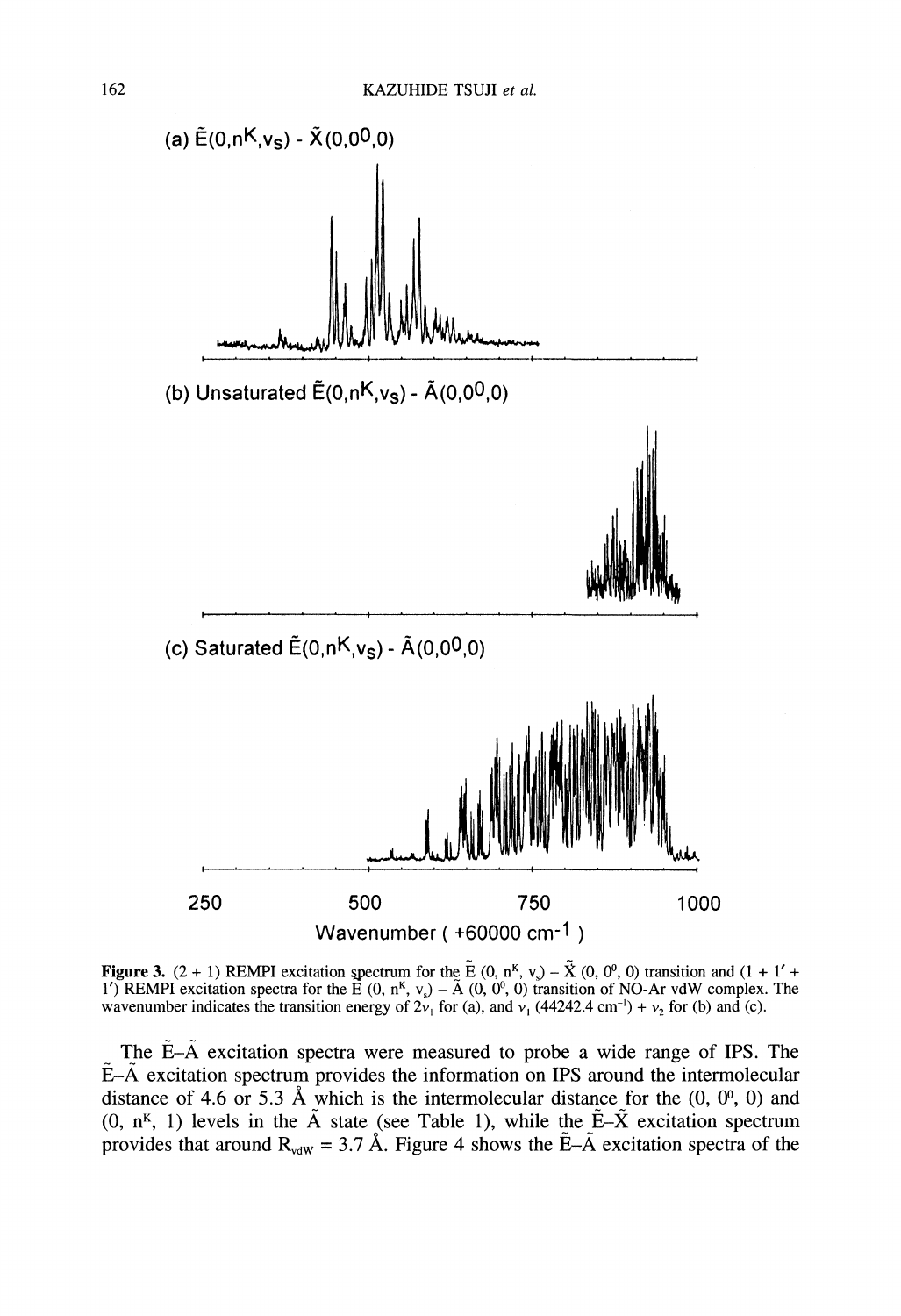

**Figure 3.** (2 + 1) REMPI excitation spectrum for the  $\tilde{E}$  (0, n<sup>K</sup>, v<sub>s</sub>) –  $\tilde{X}$  (0, 0<sup>0</sup>, 0) transition and (1 + 1' + 1') REMPI excitation spectra for the  $\vec{E}$  (0, n<sup>k</sup>, v<sub>s</sub>) –  $\tilde{A}$  (0, 0<sup>0</sup>, 0) transition of NO-Ar vdW complex. The wavenumber indicates the transition energy of  $2v_1$  for (a), and  $v_1$  (44242.4 cm<sup>-1</sup>) +  $v_2$  for (b) and (c).

The  $E-A$  excitation spectra were measured to probe a wide range of IPS. The  $E-\tilde{A}$  excitation spectrum provides the information on IPS around the intermolecular distance of 4.6 or 5.3 Å which is the intermolecular distance for the  $(0, 0^0, 0)$  and (0,  $n<sup>K</sup>$ , 1) levels in the  $\tilde{A}$  state (see Table 1), while the  $\tilde{E}-\tilde{X}$  excitation spectrum provides that around  $R_{vdw} = 3.7 \text{ Å}$ . Figure 4 shows the  $\tilde{E} - \tilde{A}$  excitation spectra of the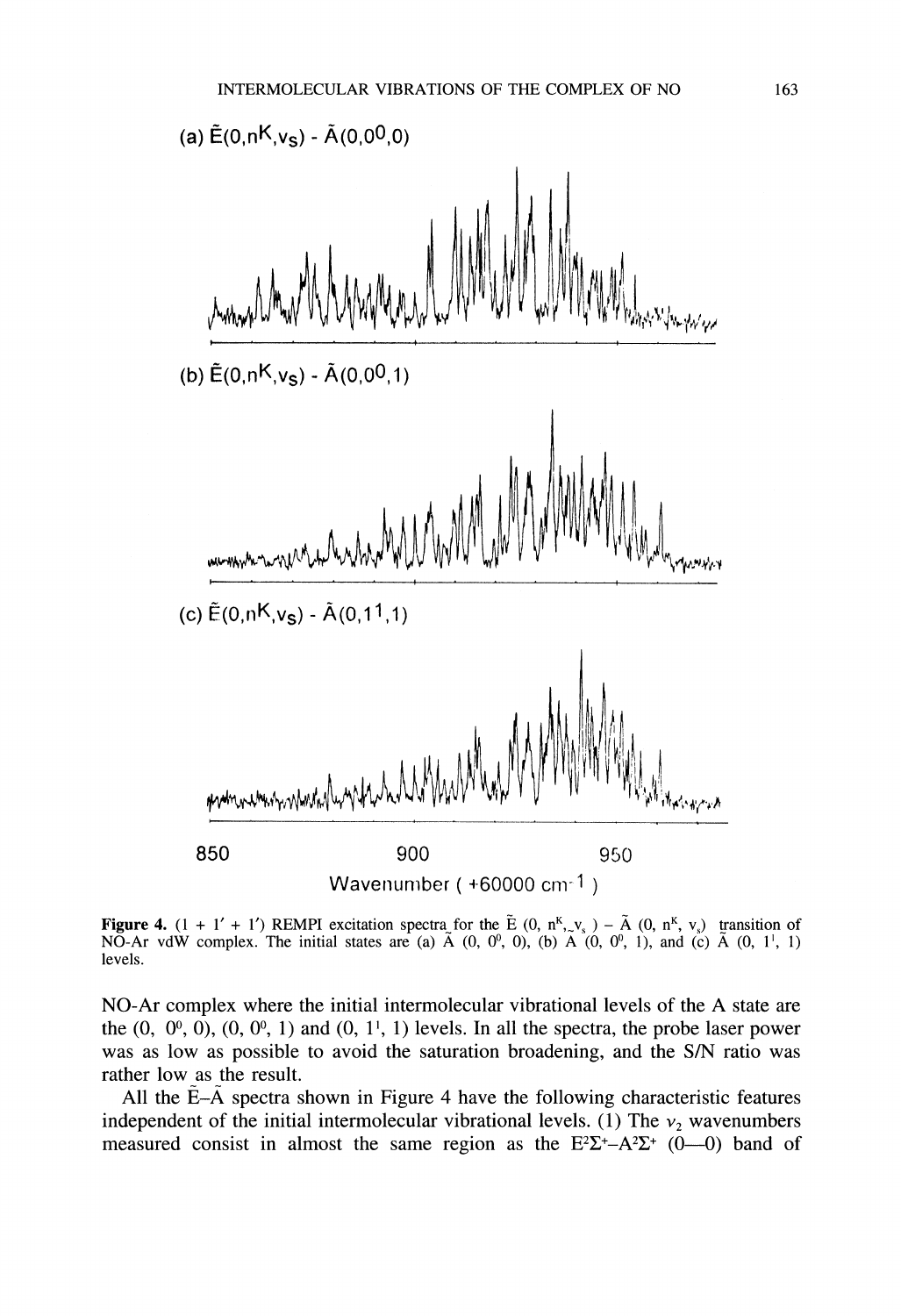

**Figure 4.**  $(1 + 1' + 1')$  REMPI excitation spectra for the E  $(0, n^k, v_s) - A (0, n^k, v_s)$  transition of NO-Ar vdW complex. The initial states are (a)  $\tilde{A}$  (0, 0, 0, 0, 0, 0, 0, 0, 1), and (c)  $\tilde{A}$  (0, 1<sup>1</sup>, 1) levels.

NO-Ar complex where the initial intermolecular vibrational levels of the A state are the  $(0, 0^0, 0)$ ,  $(0, 0^0, 1)$  and  $(0, 1^1, 1)$  levels. In all the spectra, the probe laser power was as low as possible to avoid the saturation broadening, and the S/N ratio was rather low as the result.

All the  $E-A$  spectra shown in Figure 4 have the following characteristic features independent of the initial intermolecular vibrational levels. (1) The  $v_2$  wavenumbers measured consist in almost the same region as the  $E^2\Sigma^+$ -A $E^2$  (0-0) band of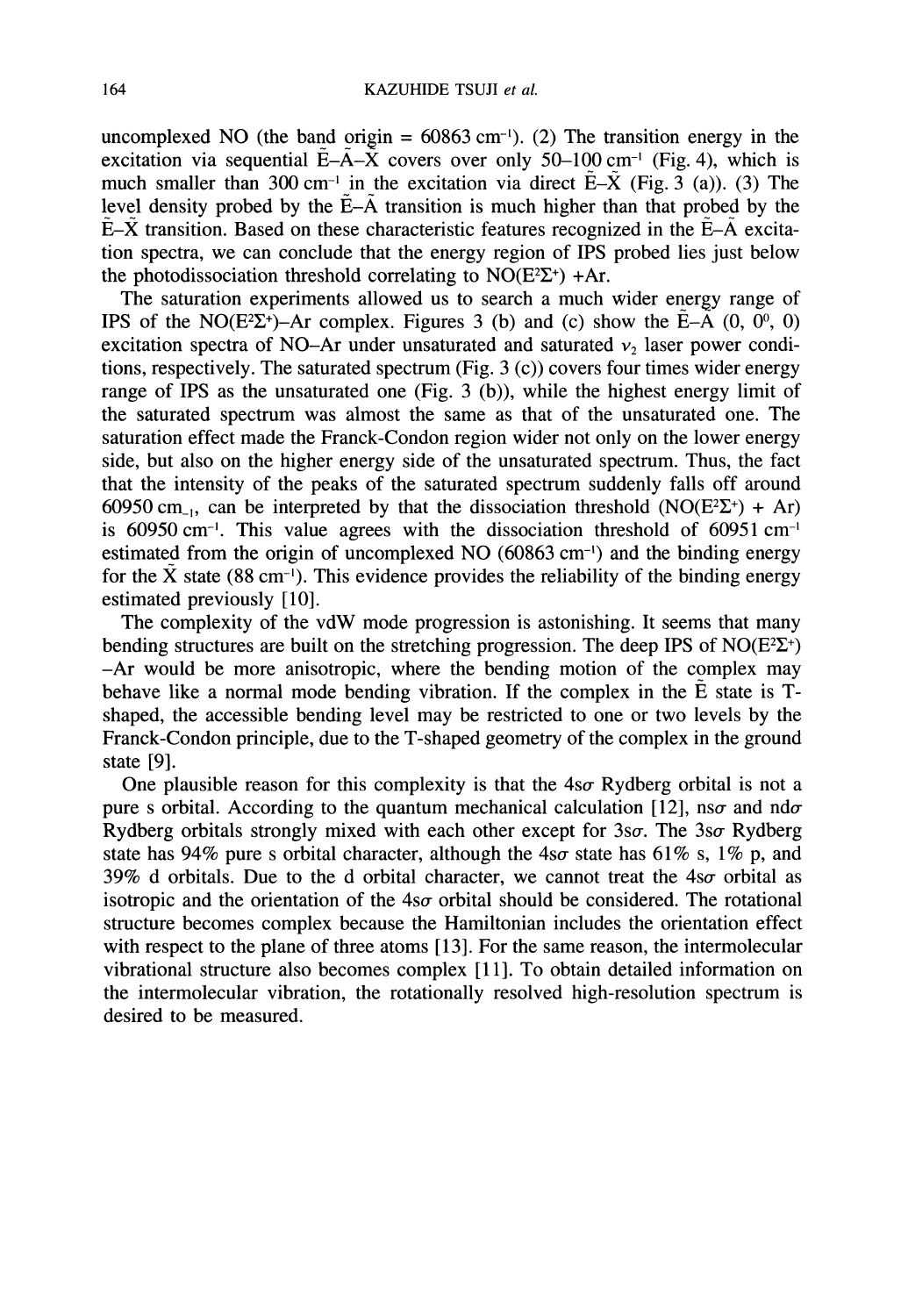uncomplexed NO (the band origin =  $60863$  cm<sup>-1</sup>). (2) The transition energy in the excitation via sequential  $\tilde{E}-\tilde{A}-\tilde{X}$  covers over only 50-100 cm<sup>-1</sup> (Fig. 4), which is excitation via sequential E-A-X covers over only 50–100 cm<sup>-1</sup> (Fig. 4), which is much smaller than 300 cm<sup>-1</sup> in the excitation via direct  $\tilde{E}-\tilde{X}$  (Fig. 3 (a)). (3) The level density probed by the  $\tilde{E}-\tilde{A}$  t level density probed by the  $E-\tilde{A}$  transition is much higher than that probed by the  $E-\tilde{X}$  transition. Based on these characteristic features recognized in the  $\tilde{E}-\tilde{A}$  excitation spectra, we can conclude that the energy region of IPS probed lies just below the photodissociation threshold correlating to  $NO(E^2\Sigma^+)$  +Ar.

The saturation experiments allowed us to search a much wider energy range of IPS of the NO(E<sup>2</sup>E<sup>+</sup>)-Ar complex. Figures 3 (b) and (c) show the  $\tilde{E}-\tilde{A}$  (0, 0<sup>o</sup>, 0) excitation spectra of NO-Ar under unsaturated and saturated  $v_2$  laser power conditions, respectively. The saturated spectrum (Fig. 3 (c)) covers four times wider energy range of IPS as the unsaturated one (Fig. 3 (b)), while the highest energy limit of the saturated spectrum was almost the same as that of the unsaturated one. The saturation effect made the Franck-Condon region wider not only on the lower energy side, but also on the higher energy side of the unsaturated spectrum. Thus, the fact that the intensity of the peaks of the saturated spectrum suddenly falls off around 60950 cm<sub>-1</sub>, can be interpreted by that the dissociation threshold (NO(E<sup>2</sup> $\Sigma$ <sup>+</sup>) + Ar) is 60950 cm<sup>-1</sup>. This value agrees with the dissociation threshold of 60951 cm<sup>-1</sup> estimated from the origin of uncomplexed NO (60863 cm<sup>-1</sup>) and the binding energy for the  $\tilde{X}$  state (88 cm<sup>-1</sup>). This evidence provides the reliability of the binding energy estimated previously [10].

The complexity of the vdW mode progression is astonishing. It seems that many bending structures are built on the stretching progression. The deep IPS of  $NO(E^2\Sigma^+)$ -Ar would be more anisotropic, where the bending motion of the complex may behave like a normal mode bending vibration. If the complex in the  $\tilde{E}$  state is Tshaped, the accessible bending level may be restricted to one or two levels by the Franck-Condon principle, due to the T-shaped geometry of the complex in the ground state [9].

One plausible reason for this complexity is that the  $4s\sigma$  Rydberg orbital is not a pure s orbital. According to the quantum mechanical calculation [12], nso and ndo Rydberg orbitals strongly mixed with each other except for  $3s\sigma$ . The  $3s\sigma$  Rydberg state has 94% pure s orbital character, although the  $4s\sigma$  state has 61% s, 1% p, and 39% d orbitals. Due to the d orbital character, we cannot treat the  $4s\sigma$  orbital as isotropic and the orientation of the  $4s\sigma$  orbital should be considered. The rotational structure becomes complex because the Hamiltonian includes the orientation effect with respect to the plane of three atoms [13]. For the same reason, the intermolecular vibrational structure also becomes complex [11]. To obtain detailed information on the intermolecular vibration, the rotationally resolved high-resolution spectrum is desired to be measured.